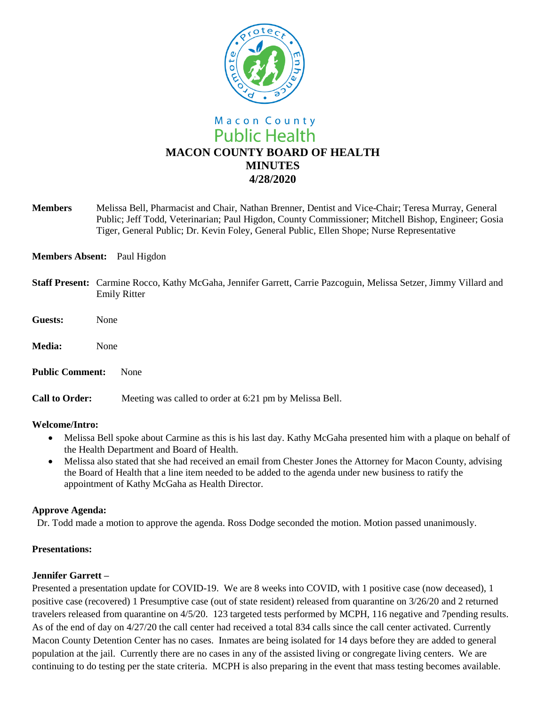

**Members** Melissa Bell, Pharmacist and Chair, Nathan Brenner, Dentist and Vice-Chair; Teresa Murray, General Public; Jeff Todd, Veterinarian; Paul Higdon, County Commissioner; Mitchell Bishop, Engineer; Gosia Tiger, General Public; Dr. Kevin Foley, General Public, Ellen Shope; Nurse Representative

# **Members Absent:** Paul Higdon

- **Staff Present:** Carmine Rocco, Kathy McGaha, Jennifer Garrett, Carrie Pazcoguin, Melissa Setzer, Jimmy Villard and Emily Ritter
- **Guests:** None
- **Media:** None

**Public Comment:** None

**Call to Order:** Meeting was called to order at 6:21 pm by Melissa Bell.

#### **Welcome/Intro:**

- Melissa Bell spoke about Carmine as this is his last day. Kathy McGaha presented him with a plaque on behalf of the Health Department and Board of Health.
- Melissa also stated that she had received an email from Chester Jones the Attorney for Macon County, advising the Board of Health that a line item needed to be added to the agenda under new business to ratify the appointment of Kathy McGaha as Health Director.

#### **Approve Agenda:**

Dr. Todd made a motion to approve the agenda. Ross Dodge seconded the motion. Motion passed unanimously.

# **Presentations:**

# **Jennifer Garrett –**

Presented a presentation update for COVID-19. We are 8 weeks into COVID, with 1 positive case (now deceased), 1 positive case (recovered) 1 Presumptive case (out of state resident) released from quarantine on 3/26/20 and 2 returned travelers released from quarantine on 4/5/20. 123 targeted tests performed by MCPH, 116 negative and 7pending results. As of the end of day on 4/27/20 the call center had received a total 834 calls since the call center activated. Currently Macon County Detention Center has no cases. Inmates are being isolated for 14 days before they are added to general population at the jail. Currently there are no cases in any of the assisted living or congregate living centers. We are continuing to do testing per the state criteria. MCPH is also preparing in the event that mass testing becomes available.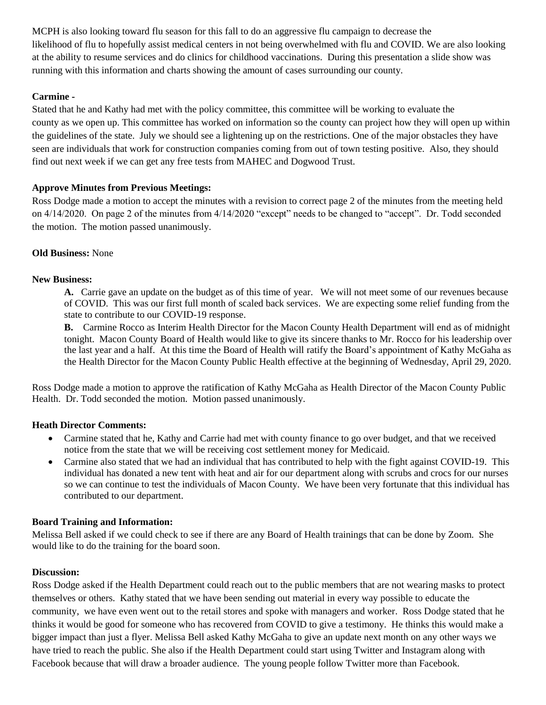MCPH is also looking toward flu season for this fall to do an aggressive flu campaign to decrease the likelihood of flu to hopefully assist medical centers in not being overwhelmed with flu and COVID. We are also looking at the ability to resume services and do clinics for childhood vaccinations. During this presentation a slide show was running with this information and charts showing the amount of cases surrounding our county.

# **Carmine -**

Stated that he and Kathy had met with the policy committee, this committee will be working to evaluate the county as we open up. This committee has worked on information so the county can project how they will open up within the guidelines of the state. July we should see a lightening up on the restrictions. One of the major obstacles they have seen are individuals that work for construction companies coming from out of town testing positive. Also, they should find out next week if we can get any free tests from MAHEC and Dogwood Trust.

# **Approve Minutes from Previous Meetings:**

Ross Dodge made a motion to accept the minutes with a revision to correct page 2 of the minutes from the meeting held on 4/14/2020. On page 2 of the minutes from 4/14/2020 "except" needs to be changed to "accept". Dr. Todd seconded the motion. The motion passed unanimously.

# **Old Business:** None

# **New Business:**

**A.** Carrie gave an update on the budget as of this time of year. We will not meet some of our revenues because of COVID. This was our first full month of scaled back services. We are expecting some relief funding from the state to contribute to our COVID-19 response.

**B.** Carmine Rocco as Interim Health Director for the Macon County Health Department will end as of midnight tonight. Macon County Board of Health would like to give its sincere thanks to Mr. Rocco for his leadership over the last year and a half. At this time the Board of Health will ratify the Board's appointment of Kathy McGaha as the Health Director for the Macon County Public Health effective at the beginning of Wednesday, April 29, 2020.

Ross Dodge made a motion to approve the ratification of Kathy McGaha as Health Director of the Macon County Public Health. Dr. Todd seconded the motion. Motion passed unanimously.

# **Heath Director Comments:**

- Carmine stated that he, Kathy and Carrie had met with county finance to go over budget, and that we received notice from the state that we will be receiving cost settlement money for Medicaid.
- Carmine also stated that we had an individual that has contributed to help with the fight against COVID-19. This individual has donated a new tent with heat and air for our department along with scrubs and crocs for our nurses so we can continue to test the individuals of Macon County. We have been very fortunate that this individual has contributed to our department.

# **Board Training and Information:**

Melissa Bell asked if we could check to see if there are any Board of Health trainings that can be done by Zoom. She would like to do the training for the board soon.

# **Discussion:**

Ross Dodge asked if the Health Department could reach out to the public members that are not wearing masks to protect themselves or others. Kathy stated that we have been sending out material in every way possible to educate the community, we have even went out to the retail stores and spoke with managers and worker. Ross Dodge stated that he thinks it would be good for someone who has recovered from COVID to give a testimony. He thinks this would make a bigger impact than just a flyer. Melissa Bell asked Kathy McGaha to give an update next month on any other ways we have tried to reach the public. She also if the Health Department could start using Twitter and Instagram along with Facebook because that will draw a broader audience. The young people follow Twitter more than Facebook.